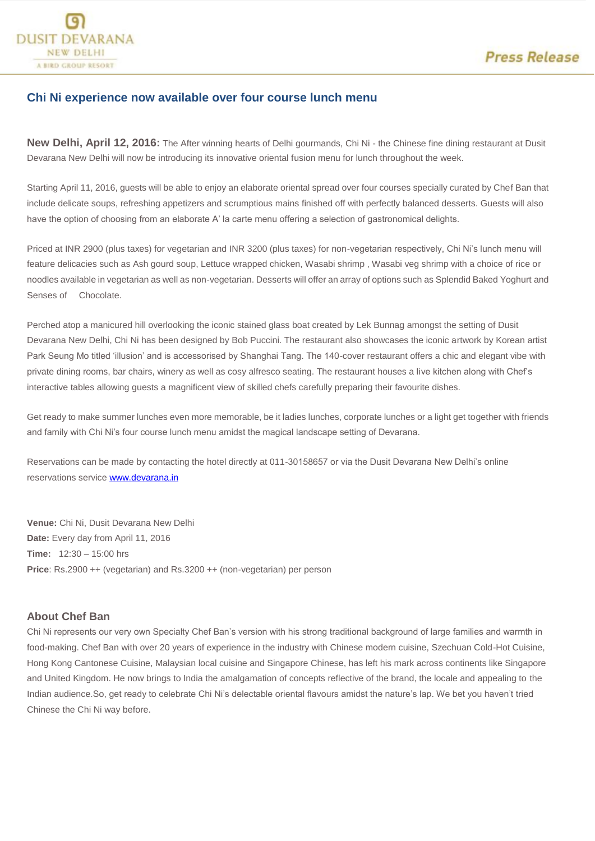

## **Chi Ni experience now available over four course lunch menu**

**New Delhi, April 12, 2016:** The After winning hearts of Delhi gourmands, Chi Ni - the Chinese fine dining restaurant at Dusit Devarana New Delhi will now be introducing its innovative oriental fusion menu for lunch throughout the week.

Starting April 11, 2016, guests will be able to enjoy an elaborate oriental spread over four courses specially curated by Chef Ban that include delicate soups, refreshing appetizers and scrumptious mains finished off with perfectly balanced desserts. Guests will also have the option of choosing from an elaborate A' la carte menu offering a selection of gastronomical delights.

Priced at INR 2900 (plus taxes) for vegetarian and INR 3200 (plus taxes) for non-vegetarian respectively, Chi Ni's lunch menu will feature delicacies such as Ash gourd soup, Lettuce wrapped chicken, Wasabi shrimp , Wasabi veg shrimp with a choice of rice or noodles available in vegetarian as well as non-vegetarian. Desserts will offer an array of options such as Splendid Baked Yoghurt and Senses of Chocolate.

Perched atop a manicured hill overlooking the iconic stained glass boat created by Lek Bunnag amongst the setting of Dusit Devarana New Delhi, Chi Ni has been designed by Bob Puccini. The restaurant also showcases the iconic artwork by Korean artist Park Seung Mo titled 'illusion' and is accessorised by Shanghai Tang. The 140-cover restaurant offers a chic and elegant vibe with private dining rooms, bar chairs, winery as well as cosy alfresco seating. The restaurant houses a live kitchen along with Chef's interactive tables allowing guests a magnificent view of skilled chefs carefully preparing their favourite dishes.

Get ready to make summer lunches even more memorable, be it ladies lunches, corporate lunches or a light get together with friends and family with Chi Ni's four course lunch menu amidst the magical landscape setting of Devarana.

Reservations can be made by contacting the hotel directly at 011-30158657 or via the Dusit Devarana New Delhi's online reservations servic[e www.devarana.in](http://www.devarana.in/)

**Venue:** Chi Ni, Dusit Devarana New Delhi **Date:** Every day from April 11, 2016 **Time:** 12:30 – 15:00 hrs **Price**: Rs.2900 ++ (vegetarian) and Rs.3200 ++ (non-vegetarian) per person

## **About Chef Ban**

Chi Ni represents our very own Specialty Chef Ban's version with his strong traditional background of large families and warmth in food-making. Chef Ban with over 20 years of experience in the industry with Chinese modern cuisine, Szechuan Cold-Hot Cuisine, Hong Kong Cantonese Cuisine, Malaysian local cuisine and Singapore Chinese, has left his mark across continents like Singapore and United Kingdom. He now brings to India the amalgamation of concepts reflective of the brand, the locale and appealing to the Indian audience.So, get ready to celebrate Chi Ni's delectable oriental flavours amidst the nature's lap. We bet you haven't tried Chinese the Chi Ni way before.